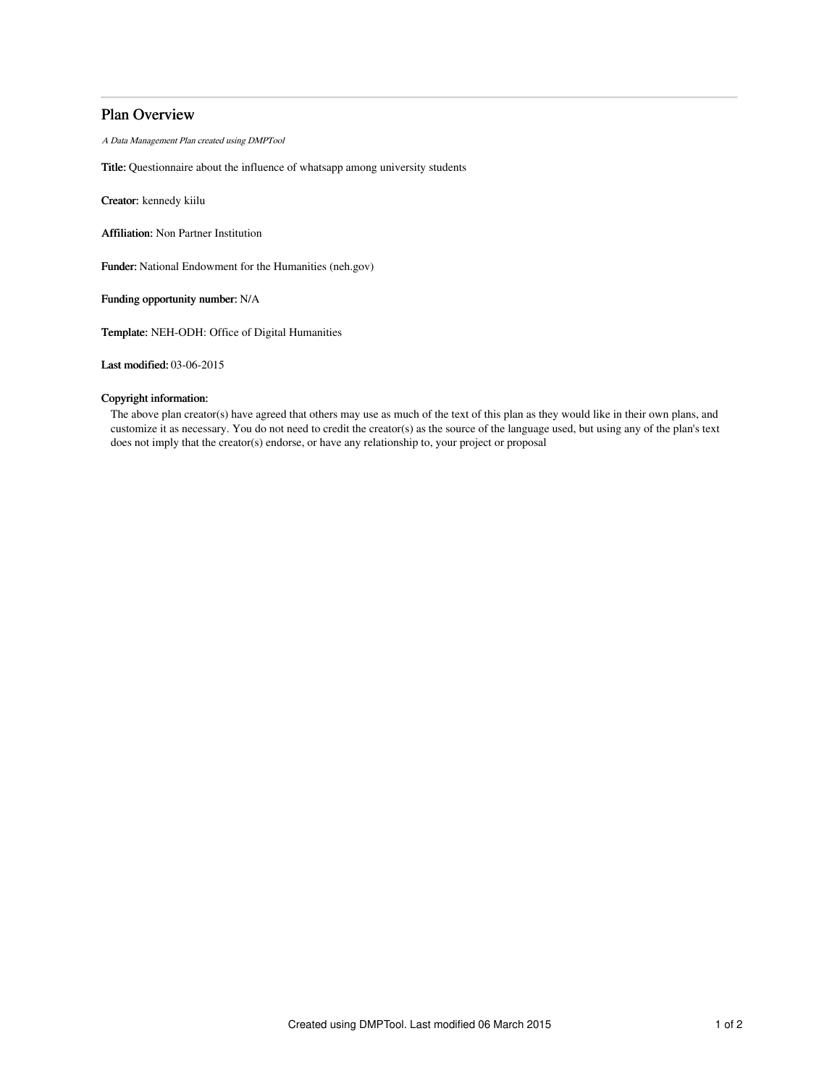# Plan Overview

A Data Management Plan created using DMPTool

Title: Questionnaire about the influence of whatsapp among university students

Creator: kennedy kiilu

Affiliation: Non Partner Institution

Funder: National Endowment for the Humanities (neh.gov)

Funding opportunity number: N/A

Template: NEH-ODH: Office of Digital Humanities

Last modified: 03-06-2015

## Copyright information:

The above plan creator(s) have agreed that others may use as much of the text of this plan as they would like in their own plans, and customize it as necessary. You do not need to credit the creator(s) as the source of the language used, but using any of the plan's text does not imply that the creator(s) endorse, or have any relationship to, your project or proposal